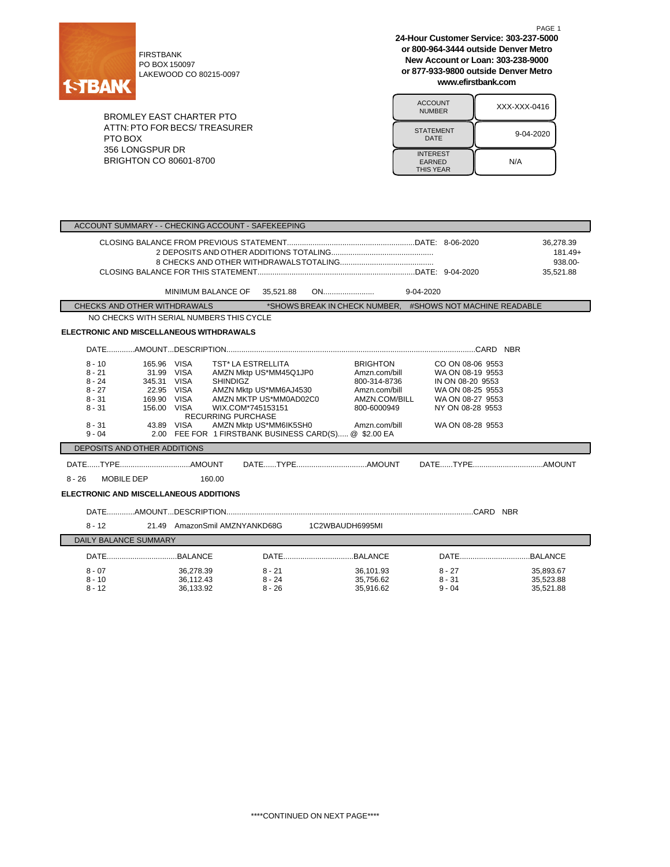

PO BOX 150097 LAKEWOOD CO 80215-0097

BROMLEY EAST CHARTER PTO ATTN:PTO FOR BECS/ TREASURER PTO BOX 356 LONGSPUR DR BRIGHTON CO 80601-8700

**24-Hour Customer Service: 303-237-5000 or 800-964-3444 outside Denver Metro New Account or Loan: 303-238-9000 or 877-933-9800 outside Denver Metro www.efirstbank.com**

PAGE 1

| <b>ACCOUNT</b><br><b>NUMBER</b>                      | XXX-XXX-0416 |
|------------------------------------------------------|--------------|
| <b>STATEMENT</b><br>DATE                             | 9-04-2020    |
| <b>INTEREST</b><br><b>EARNED</b><br><b>THIS YEAR</b> | N/A          |

|                                                                                                                                                                                                         | ACCOUNT SUMMARY - - CHECKING ACCOUNT - SAFEKEEPING                                                                                                                                                                    |                                                                                                                                                        |                                                                                                                    |                                                                                                                                          |                                              |  |
|---------------------------------------------------------------------------------------------------------------------------------------------------------------------------------------------------------|-----------------------------------------------------------------------------------------------------------------------------------------------------------------------------------------------------------------------|--------------------------------------------------------------------------------------------------------------------------------------------------------|--------------------------------------------------------------------------------------------------------------------|------------------------------------------------------------------------------------------------------------------------------------------|----------------------------------------------|--|
|                                                                                                                                                                                                         |                                                                                                                                                                                                                       |                                                                                                                                                        |                                                                                                                    |                                                                                                                                          | 36,278.39<br>181.49+<br>938.00-<br>35.521.88 |  |
|                                                                                                                                                                                                         | MINIMUM BALANCE OF 35,521.88                                                                                                                                                                                          |                                                                                                                                                        |                                                                                                                    |                                                                                                                                          |                                              |  |
| CHECKS AND OTHER WITHDRAWALS                                                                                                                                                                            |                                                                                                                                                                                                                       |                                                                                                                                                        |                                                                                                                    | *SHOWS BREAK IN CHECK NUMBER. #SHOWS NOT MACHINE READABLE*                                                                               |                                              |  |
|                                                                                                                                                                                                         | NO CHECKS WITH SERIAL NUMBERS THIS CYCLE                                                                                                                                                                              |                                                                                                                                                        |                                                                                                                    |                                                                                                                                          |                                              |  |
| <b>ELECTRONIC AND MISCELLANEOUS WITHDRAWALS</b>                                                                                                                                                         |                                                                                                                                                                                                                       |                                                                                                                                                        |                                                                                                                    |                                                                                                                                          |                                              |  |
|                                                                                                                                                                                                         |                                                                                                                                                                                                                       |                                                                                                                                                        |                                                                                                                    |                                                                                                                                          |                                              |  |
| $8 - 10$<br>$8 - 21$<br>$8 - 24$<br>$8 - 27$<br>$8 - 31$<br>$8 - 31$<br>$8 - 31$<br>$9 - 04$<br>DEPOSITS AND OTHER ADDITIONS<br>$8 - 26$<br>MOBILE DEP<br><b>ELECTRONIC AND MISCELLANEOUS ADDITIONS</b> | 165.96 VISA<br>31.99 VISA<br>345.31 VISA<br><b>SHINDIGZ</b><br>22.95 VISA<br>169.90 VISA<br>156.00 VISA<br><b>RECURRING PURCHASE</b><br>43.89 VISA<br>2.00 FEE FOR 1 FIRSTBANK BUSINESS CARD(S) @ \$2.00 EA<br>160.00 | <b>TST* LA ESTRELLITA</b><br>AMZN Mktp US*MM45Q1JP0<br>AMZN Mktp US*MM6AJ4530<br>AMZN MKTP US*MM0AD02C0<br>WIX.COM*745153151<br>AMZN Mktp US*MM6IK5SH0 | <b>BRIGHTON</b><br>Amzn.com/bill<br>800-314-8736<br>Amzn.com/bill<br>AMZN.COM/BILL<br>800-6000949<br>Amzn.com/bill | CO ON 08-06 9553<br>WA ON 08-19 9553<br>IN ON 08-20 9553<br>WA ON 08-25 9553<br>WA ON 08-27 9553<br>NY ON 08-28 9553<br>WA ON 08-28 9553 |                                              |  |
|                                                                                                                                                                                                         |                                                                                                                                                                                                                       |                                                                                                                                                        |                                                                                                                    |                                                                                                                                          |                                              |  |
| $8 - 12$                                                                                                                                                                                                | 21.49 AmazonSmil AMZNYANKD68G 1C2WBAUDH6995MI                                                                                                                                                                         |                                                                                                                                                        |                                                                                                                    |                                                                                                                                          |                                              |  |
| <b>DAILY BALANCE SUMMARY</b>                                                                                                                                                                            |                                                                                                                                                                                                                       |                                                                                                                                                        |                                                                                                                    |                                                                                                                                          |                                              |  |
|                                                                                                                                                                                                         |                                                                                                                                                                                                                       |                                                                                                                                                        |                                                                                                                    |                                                                                                                                          |                                              |  |
| $8 - 07$<br>$8 - 10$<br>$8 - 12$                                                                                                                                                                        | 36,278.39<br>36.112.43<br>36,133.92                                                                                                                                                                                   | 8 - 21<br>$8 - 24$<br>$8 - 26$                                                                                                                         | 36,101.93<br>35.756.62<br>35.916.62                                                                                | $8 - 27$<br>$8 - 31$<br>$9 - 04$                                                                                                         | 35,893.67<br>35.523.88<br>35,521.88          |  |